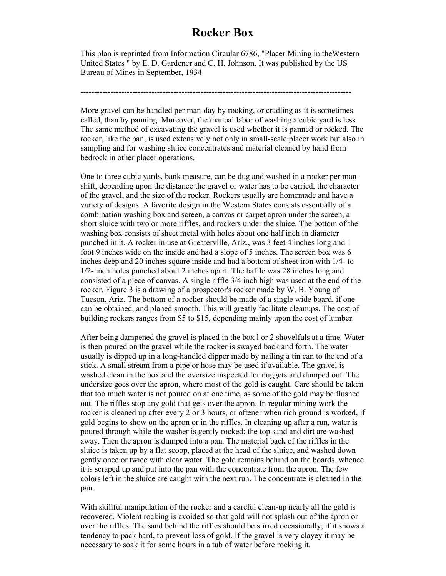## Rocker Box

This plan is reprinted from Information Circular 6786, "Placer Mining in theWestern United States " by E. D. Gardener and C. H. Johnson. It was published by the US Bureau of Mines in September, 1934

---------------------------------------------------------------------------------------------------

More gravel can be handled per man-day by rocking, or cradling as it is sometimes called, than by panning. Moreover, the manual labor of washing a cubic yard is less. The same method of excavating the gravel is used whether it is panned or rocked. The rocker, like the pan, is used extensively not only in small-scale placer work but also in sampling and for washing sluice concentrates and material cleaned by hand from bedrock in other placer operations.

One to three cubic yards, bank measure, can be dug and washed in a rocker per manshift, depending upon the distance the gravel or water has to be carried, the character of the gravel, and the size of the rocker. Rockers usually are homemade and have a variety of designs. A favorite design in the Western States consists essentially of a combination washing box and screen, a canvas or carpet apron under the screen, a short sluice with two or more riffles, and rockers under the sluice. The bottom of the washing box consists of sheet metal with holes about one half inch in diameter punched in it. A rocker in use at Greatervllle, Arlz., was 3 feet 4 inches long and 1 foot 9 inches wide on the inside and had a slope of 5 inches. The screen box was 6 inches deep and 20 inches square inside and had a bottom of sheet iron with 1/4- to 1/2- inch holes punched about 2 inches apart. The baffle was 28 inches long and consisted of a piece of canvas. A single riffle 3/4 inch high was used at the end of the rocker. Figure 3 is a drawing of a prospector's rocker made by W. B. Young of Tucson, Ariz. The bottom of a rocker should be made of a single wide board, if one can be obtained, and planed smooth. This will greatly facilitate cleanups. The cost of building rockers ranges from \$5 to \$15, depending mainly upon the cost of lumber.

After being dampened the gravel is placed in the box l or 2 shovelfuls at a time. Water is then poured on the gravel while the rocker is swayed back and forth. The water usually is dipped up in a long-handled dipper made by nailing a tin can to the end of a stick. A small stream from a pipe or hose may be used if available. The gravel is washed clean in the box and the oversize inspected for nuggets and dumped out. The undersize goes over the apron, where most of the gold is caught. Care should be taken that too much water is not poured on at one time, as some of the gold may be flushed out. The riffles stop any gold that gets over the apron. In regular mining work the rocker is cleaned up after every 2 or 3 hours, or oftener when rich ground is worked, if gold begins to show on the apron or in the riffles. In cleaning up after a run, water is poured through while the washer is gently rocked; the top sand and dirt are washed away. Then the apron is dumped into a pan. The material back of the riffles in the sluice is taken up by a flat scoop, placed at the head of the sluice, and washed down gently once or twice with clear water. The gold remains behind on the boards, whence it is scraped up and put into the pan with the concentrate from the apron. The few colors left in the sluice are caught with the next run. The concentrate is cleaned in the pan.

With skillful manipulation of the rocker and a careful clean-up nearly all the gold is recovered. Violent rocking is avoided so that gold will not splash out of the apron or over the riffles. The sand behind the riffles should be stirred occasionally, if it shows a tendency to pack hard, to prevent loss of gold. If the gravel is very clayey it may be necessary to soak it for some hours in a tub of water before rocking it.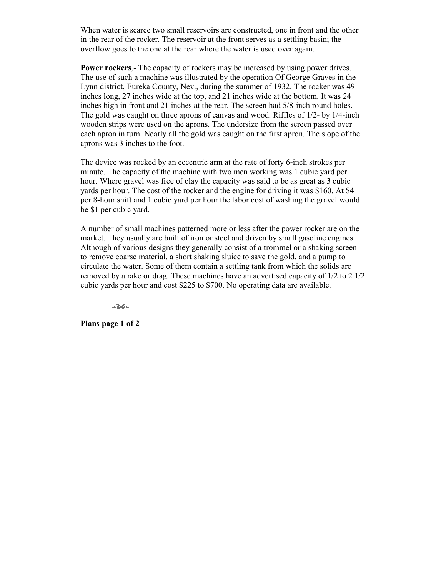When water is scarce two small reservoirs are constructed, one in front and the other in the rear of the rocker. The reservoir at the front serves as a settling basin; the overflow goes to the one at the rear where the water is used over again.

Power rockers,- The capacity of rockers may be increased by using power drives. The use of such a machine was illustrated by the operation Of George Graves in the Lynn district, Eureka County, Nev., during the summer of 1932. The rocker was 49 inches long, 27 inches wide at the top, and 21 inches wide at the bottom. It was 24 inches high in front and 21 inches at the rear. The screen had 5/8-inch round holes. The gold was caught on three aprons of canvas and wood. Riffles of 1/2- by 1/4-inch wooden strips were used on the aprons. The undersize from the screen passed over each apron in turn. Nearly all the gold was caught on the first apron. The slope of the aprons was 3 inches to the foot.

The device was rocked by an eccentric arm at the rate of forty 6-inch strokes per minute. The capacity of the machine with two men working was 1 cubic yard per hour. Where gravel was free of clay the capacity was said to be as great as 3 cubic yards per hour. The cost of the rocker and the engine for driving it was \$160. At \$4 per 8-hour shift and 1 cubic yard per hour the labor cost of washing the gravel would be \$1 per cubic yard.

A number of small machines patterned more or less after the power rocker are on the market. They usually are built of iron or steel and driven by small gasoline engines. Although of various designs they generally consist of a trommel or a shaking screen to remove coarse material, a short shaking sluice to save the gold, and a pump to circulate the water. Some of them contain a settling tank from which the solids are removed by a rake or drag. These machines have an advertised capacity of 1/2 to 2 1/2 cubic yards per hour and cost \$225 to \$700. No operating data are available.

.هُمْ:

Plans page 1 of 2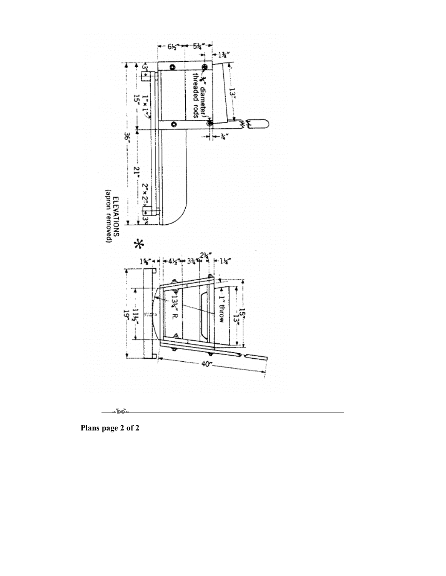

Plans page 2 of 2